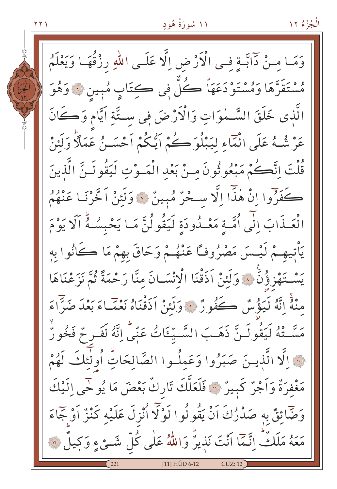$\gamma$  $\gamma$ 

وَمَا مِنْ دَابَّةٍ فِي الْأَرْضِ اِلَّا عَلَى اللَّهِ رِزْقُهَا وَيَعْلَمُ هُسْتَقَرَّهَا وَمُسْتَوْدَعَهَا كُلُّ فِي كِتَابٍ مُبِينِ ۞ وَهُوَ الَّذى خَلَقَ السَّـمٰوَاتِ وَالْأَرْضَ فِى ستَّةِ اَيَّام وَكَانَ عَرْشُهُ عَلَى الْمَاءِ لِيَبْلُوَكُمْ اَيُّكُمْ اَحْسَـنُ عَمَلًا وَلَئِنْ قُلْتَ إِنَّكُمْ مَبْعُوثُونَ منْ بَعْدِ الْمَـوْتِ لَيَقُولَـنَّ الَّذينَ كَفَرُوا إِنْ هٰذَا إِلَّا سِحْرٌ مُبِينٌ ۞ وَلَئِنْ اَخَّرْنَـا عَنْهُمُ الْعَـذَابَ الْي اُمَّـةِ مَعْـدُودَةِ لَيَقُولُنَّ مَـا يَحْبِسُـهُ اَلَا يَوْمَ يَأْتِيهِـمْ لَيْـسَ مَصْرُوفًـا عَنْهُـمْ وَحَاقَ بِهِمْ مَا كَانُوا بِه يَسْتَهْزِؤُنَّ ۞ وَلَئِنْ اَذَقْنَا الْانْسَـانَ منَّا رَحْمَةً ثُمَّ نَزَعْنَاهَا مِنْهُ إِنَّهُ لَيَؤْسُ كَفُورٌ ﴾ وَلَئِنْ أَذَقْنَاهُ نَعْمَاءَ بَعْدَ صَرًّاءَ مَسَّـتْهُ لَيَقُولَـنَّ ذَهَـبَ السَّـيِّـتَاتُ عَبّى اِنَّهُ لَفَـر مُ فَخُورٌ فَ الَّذِينَ صَبَرُوا وَعَمِلُوا الصَّالِحَاتِ أُولَٰئِكَ لَهُمْ مَغْفِرَةٌ وَأَجْرٌ كَبِيرٌ ۚ " فَلَعَلَّكَ تَارِكٌ بَعْضَ مَا يُوحِّى اِلَّيْكَ وَضَّائِقٌ بِهِ صَدْرُكَ أَنْ يَقُولُوا لَوْلَا أُنْزِلَ عَلَيْه كَنْزٌ أَوْ جَمَاءَ مَعَهُ مَلَكٌّ إِنَّمَا أَنْتَ نَذِيرٌ وَاللّهُ عَلٰى كُلِّ شَـئٍ ۚ وَكِيلٌ ۚ لَا [11] HÛD 6-12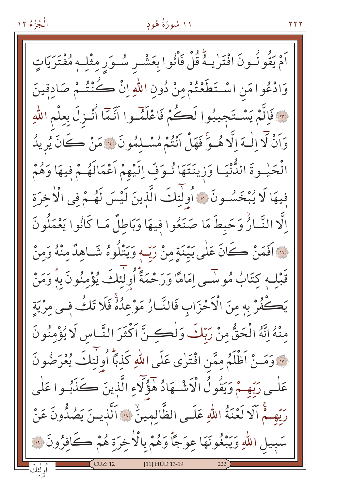# ۱۱ سُورَةُ هُودٍ

اَمْ يَقُو لُـونَ افْتَرٰيـهُ قُلْ فَأْتُوا بِعَشْـر سُـوَرِ مِثْلِـهٖ مُفْتَرَيَاتٍ وَادْعُوا مَنِ اسْتَطَعْتُمْ مِنْ دُونِ اللّهِ إِنْ كُنْتُـمْ صَادقينَ مِ ۖ فَالَّمْ يَسْتَجِيبُوا لَكُمْ فَاعْلَمْ وا أَنَّمَا أُنْـزِلَ بِعِلْمِ اللَّهِ وَاَنْ لَا الْـهَ الَّا هُـوَّ فَهَلْ اَنْتُمْ مُسْـلْمُونَ ﴾ مَنْ كَانَ يُرِيدُ الْحَيْـوةَ الدُّّنْيَـا وَزِينَتَهَا نُـوَفِّ اِلَيْهِمْ اَعْمَالَهُـمْ فِيهَا وَهُمْ فِيهَا لَا يُبْخَسُونَ ۚ أَوْلَٰٓئِكَ الَّذِينَ لَيْسَ لَهُـمْ فِي الْاخِرَةِ اِلَّا النَّارُٰ وَحَبطَ مَا صَنَعُوا فِيهَا وَبَاطِلٌ مَا كَانُوا يَعْمَلُونَ فِينَ افَعَنْ كَانَ عَلَى بَيِّنَةٍ مِنْ رَبِّ وَيَتْلُوهُ شَـاهِدٌ مِنْهُ وَمِنْ قَبْلِـهِ كتَابُ مُوسَّـى إِمَامًا وَرَحْمَةً أُولٰئِكَ يُؤْمِنُونَ بِهِ وَمَنْ يَكْفُرْ بِهِ مِنَ الْأَحْزَابِ فَالنَّارُ مَوْعِدُهُ فَلَا تَكُ في مِرْيَةِ مِنْهُ إِنَّهُ الْحَقُّ مِنْ رَبِّكَ وَلْكِنَّ اَكْثَرَ النَّاسِ لَا يُؤْمِنُونَ w وَمَسْ اَظْلَمُ مِمَّنِ افْتَرٰى عَلَى اللهِ كَذِبًا أُولٰئِكَ يُعْرَضُونَ عَلٰـي رَبِّهِـمْ وَيَقُولُ الْأَشْـهَادُ هٰؤُلَّاءِ الَّذِينَ ڪَذَبُـوا عَلٰي رَبِّهِـمُّ آلَا لَعْنَةُ اللّٰهِ عَلَـى الظَّالِمِينَٰ « اَلَّذِيـنَ يَصُدُّونَ عَنْ سَبِيلِ اللَّهِ وَيَبْغُونَهَا عِوَجًّا وَهُمْ بِالْأَخِرَةِ هُمْ كَافِرُونَ ۞ [11] HÛD 13-19

**Y Y Y**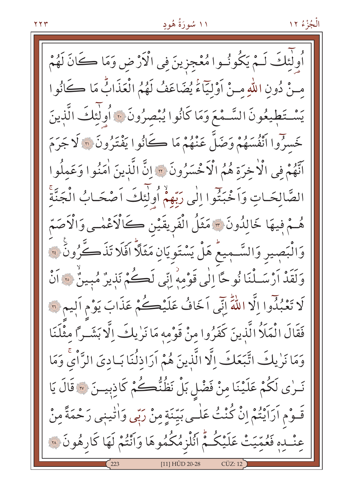أُولَٰئِكَ لَـمْ يَكُونُـوا مُعْجزينَ فِي الْأَرْضِ وَمَا كَانَ لَهُمْ مِنْ دُونِ اللَّهِ مِنْ أَوْلِيَّاءُ يُضَاعَفُ لَهُمُ الْعَذَابُّ مَا كَأْنُوا يَسْتَطِيعُونَ السَّمْعَ وَمَا كَانُوا يُبْصِرُونَ ﴾ أُولَٰئِكَ الَّذِينَ خَسرُوا اَنْفُسَهُمْ وَضَلَّ عَنْهُمْ مَا كَانُوا يَفْتَرُونَ ۞ لَا جَرَمَ اتَّهُمْ فِي الْأَخِرَةِ هُمُ الْأَخْسَرُونَ ۞ إِنَّ الَّذِينَ أُمَنُوا وَعَمِلُوا الصَّالِحَـاتِ وَاَخْبَتُوا إِلَٰى رَبِّهِمْ أُولَٰئِكَ اَصْحَـابُ الْجَنَّةِّ هُمْ فِيهَا خَالِدُونَ \* مَثَلُ الْفَرِيقَيْنِ كَالْأَعْمٰـي وَالْأَصَمّ وَالْبَصٖيرِ وَالسَّـمِيعُ هَلْ يَسْتَوِيَانِ مَثَلاً افَلَا تَذَكَّرُونَ ۚ ﴾ وَلَقَدْ أَرْسَـلْنَا نُوحًا إِلَى قَوْمِهِ إِنِّي لَكُمْ نَذِيرٌ مُبِينٌ مِنَ أَنْ لَا تَعْبُدُوا إِلَّا اللَّهَ إِنِّي اَخَافُ عَلَيْكُمْ عَذَابَ يَوْمِ اَلِيمِ لَّهَ فَقَالَ الْمَلَاُ الَّذينَ كَفَرُوا مِنْ قَوْمِهِ مَا نَرٰيكَ اِلَّا بَشَـراً مِثْلَنَا وَمَا نَرٰيكَ اتَّبَعَكَ اِلَّا الَّذِينَ هُمْ اَرَاذِلُنَا بَـادِيَ الرَّاْيِ وَمَا نَــرٰى لَكُمْ عَلَيْنَا مِنْ فَضْلِ بَلْ نَظُنُّڪُمْ كَاذِبِيــنَ ۞ قَالَ يَا قَـوْمِ اَرَاَيْتُمْ إِنْ كُنْتُ عَلٰـى بَيِّنَةٍ مِنْ رَبِّي وَاٰتٰينِي رَحْمَةً مِنْ عِنْـدِهِ فَعُمِّيَتْ عَلَيْكُـمّْ اَنُلْزِمُكُمُوهَا وَاَنْتُمْ لَهَا كَارِهُونَ ۞ [11] HI ID 20-28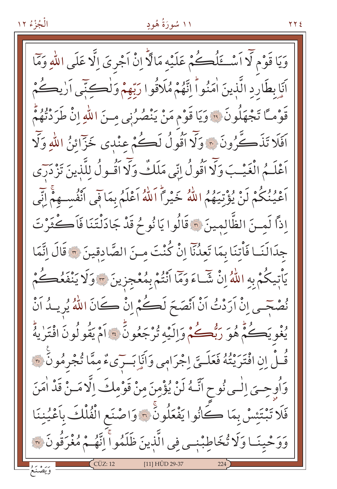#### ۱۱ سُورَةُ هُودٍ

وَيَا قَوْمٍ لَّا أَسْـــَمْلُــــكُمْ عَلَيْهِ مَالَّا إِنْ أَجْرِيَ إِلَّا عَلَى اللّهِ وَمَّا أَنَا بِطَارِدِ الَّذِينَ اٰمَنُواْ اِنَّهُمْ مُلَاقُوا رَبِّهِمْ وَلْكِنِّي أَرْيِكُمْ قَوْمـًا تَجْهَلُونَ ۚ وَيَا قَوْم مَنْ يَنْصُرُنِي مِـنَ اللّٰهِ إِنْ طَرَدْتُهُمْ اَفَلَا تَذَكَّرُونَ ﴾ وَلَّا أَقُولُ لَكُمْ عِنْدِي خَزَّائِنُ اللَّهِ وَلَّا أَعْلَـمُ الْغَيْـبَ وَلَا أَقُولُ إِنِّي مَلَكٌ وَلَا أَقُـولُ للَّذينَ تَزْدَرَى أَعْيُنُكُمْ لَنْ يُؤْتِيَهُمُ اللَّهُ خَيْراً اَللَّهُ أَعْلَمُ بِمَا فَي أَنْفُسِـهِمْ إِنِّي إِذاً لَمِنَ الظَّالِمِينَ ٣ قَالُوا يَا نُوحُ قَدْ جَادَلْتَنَا فَأَكْثَرْتَ جِدَالَنَـا فَأْتِنَا بِمَا تَعِدُّنَآ إِنْ كُنْتَ مِنَ الصَّادِقِينَ ۞ قَالَ إِنَّمَا يَاْتِيكُمْ بِهِ اللَّهُ إِنْ شَبَاءَ وَمَا أَنْتُمْ بِمُعْجزِينَ ٣٠ وَلَا يَنْفَعُڪُمْ نُصْحَـى إِنْ اَرَدْتُ اَنْ اَنْصَحَ لَكُمْ إِنْ كَانَ اللَّهُ يُرِيـدُ اَنْ يُغْوِيَكُمْ هُوَ رَبُّهُكُمْ وَإِلَيْهِ تُرْجَعُونَّ ﴾ آمْ يَقُولُونَ افْتَرٰيهُ قُــلْ إِنِ افْتَرَيْتُهُ فَعَلَــيِّ إجْرَامِي وَأَنَإِ بَــرَىءٌ مِمَّا تُجْرِمُونَ ۞ وَأُوحِيَ إِلَٰـى نُوحٍ آنَّـهُ لَنْ يُؤْمِنَ مِنْ قَوْمِكَ إِلَّا مَـنْ قَدْ أُمَنَ فَلَا تَبْتَئِسْ بِمَا كَانُوا يَفْعَلُونَ ۞ وَاصْنَعِ الْفُلْكَ بِأَعْيُنِنَا وَوَحْيِنَـا وَلَا تُخَاطِبْنِـى فِي الَّذِينَ ظَلَمُواً اِنَّهُـمْ مُغْرَقُونَ ۞ [11] HÛD 29-37

**Y Y E**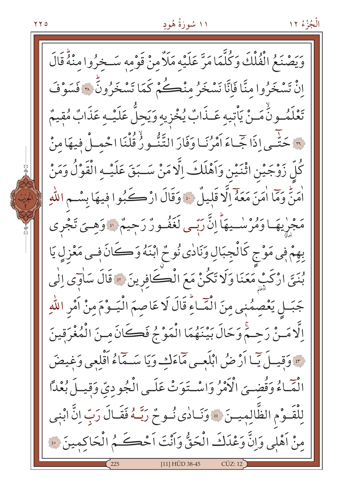رَبِّهُ مِنْهُمُ الْفُلْكَ وَكُلَّمَا مَرَّ عَلَيْهِ مَلَأٌ مِنْ قَوْمِهِ سَـخِرُوا مِنْهُ قَالَ اِنْ تَسْخَرُوا مِنَّا فَإِنَّا نَسْخَرُ مِنْڪُمْ كَمَا تَسْخَرُونَ ۞ فَسَوْفَ تَعْلَمُــونَّ مَــنْ يَأْتِيهِ عَــذَابٌ يُخْزِيهِ وَيَحِلُّ عَلَيْــهِ عَذَابٌ مُقِيمٌ لَّ حَتَّـى إِذَا جَّـاءَ أَمْرُنَـا وَفَارَ التَّنُّـورُ قُلْنَا احْمِـلْ فِيهَا مِنْ كُلِّ زَوْجَيْنِ اثْنَيْنِ وَاَهْلَكَ اِلَّا مَنْ سَـبَقَ عَلَيْـهِ الْقَوْلُ وَمَنْ أَمَنُّ وَمَّا أَمَنَ مَعَهُ إِلَّا قَلِيلٌ ﴾ وَقَالَ ارْكَبُوا فِيهَا بِسْمِ اللَّهِ مَجْرِيهَـا وَمُرْسْـيهَاْ إِنَّ رَبِّـي لَغَفُـورٌ رَحِيمٌ ۞ وَهِـيَ تَجْرِي بِهِمْ فِي مَوْجِ كَالْجِبَالِ وَنَادٰي نُوحٌ ابْنَهُ وَكَانَ فِي مَعْزِلٍ يَا بُنَيِّ ارْكَبْ مَعَنَا وَلَا تَكُنْ مَعَ الْكُافِرِينَ ۞ قَالَ سَاٰوَى إِلَى جَبَـل يَعْصِمُنِي مِنَ الْمَٓـاءِ قَالَ لَا عَاصِمَ الْيَـوْمَ مِنْ اَمْرِ اللّهِ الَّامَـنْ رَحِـمَّ وَحَالَ بَيْنَهُمَا الْمَوْجُ فَكَانَ مِـنَ الْمُغْرَقِينَ " وَقِيساً يَمّا أَرْضُ ابْلَعِسى مَاءَكِ وَيَا سَـمَاءُ أَقْلِعِي وَغِيضَ الْمَاءُ وَقُضِيَ الْأَمْرُ وَاسْتَوَتْ عَلَى الْجُودِيّ وَقِيلَ بُعْدًا لِلْقَـوْمِ الظَّالِمِيـنَ \* وَنَـادٰى نُـوحٌ رَبَّـهُ فَقَـالَ رَبِّ اِنَّ ابْنِي مِنْ اَهْلِي وَإِنَّ وَعْدَكَ الْحَقُّ وَاَنْتَ اَحْكَــمُ الْحَاكِمِينَ ۞ [11] HÛD 38-45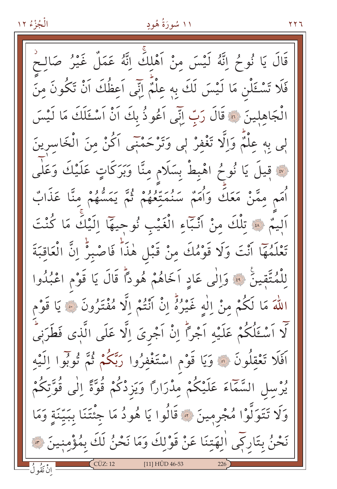#### ۱۱ سُورَةُ هُودٍ

۲۲٦

قَالَ يَا نُوحُ إِنَّهُ لَيْسَ مِنْ اَهْلِكَ إِنَّهُ عَمَلٌ غَيْرُ صَالِحٌ فَلَا تَسْـئَلْن مَا لَيْسَ لَكَ بِهِ عِلْمٌ إِنِّي اَعِظُكَ اَنْ تَكُونَ مِنَ الْجَاهِلِينَ ۞ قَالَ رَبِّ إِنِّي اَعُوذُ بِكَ اَنْ اَسْئَلَكَ مَا لَيْسَ لِي بِهِ عِلْمٌ وَاِلَّا تَغْفِرْ لِي وَتَرْحَمْنِي اَكُنْ مِنَ الْخَاسِرِينَ لَّةً قِيلَ يَا نُوحُ اهْبِطْ بِسَلَامٍ مِنَّا وَبَرَكَاتٍ عَلَيْكَ وَعَلٰى أُمَم مِمَّنْ مَعَكَ وَأُمَمْ سَنُمَتِّعُهُمْ ثُمَّ يَمَسُّهُمْ مِنَّا عَذَابٌ اَلِيمٌ ۞ تِلْكَ مِنْ أَنْبَاءِ الْغَيْبِ نُوجِيهَا اِلَيْكَ مَا كُنْتَ تَعْلَمُهَا أَنْتَ وَلَا قَوْمُكَ مِنْ قَبْلِ هٰذَاً فَاصْبِرْ إِنَّ الْعَاقِبَةَ لِلْمُتَّقِينَ ۚ ﴾ وَاِلٰى عَادٍ اَخَاهُمْ هُودًا قَالَ يَا قَوْمِ اعْبُدُوا اللَّهَ مَا لَكُمْ مِنْ اللَّهِ غَيْرُهُ إِنْ أَنْتُمْ إِلَّا مُفْتَرُونَ ۞ يَا قَوْم لَّا اَسْئَلُكُمْ عَلَيْهِ اَجْرًا إِنْ اَجْرِىَ إِلَّا عَلَى الَّذِى فَطَرَنِىٍّ اَفَلَا تَعْقِلُونَ ۞ وَيَا قَوْمِ اسْتَغْفِرُوا رَبَّكُمْ ثُمَّ تُوبُّوا اِلَيْهِ يُرْسِلِ السَّمَّاءَ عَلَيْكُمْ مِدْرَارًا وَيَزِدْكُمْ قُوَّةً اِلٰى قُوَّتِكُمْ وَلَا تَتَوَلَّوْا مُجْرِمِينَ ۞ قَالُوا يَا هُودُ مَا جِئْتَنَا بِبَيِّنَةٍ وَمَا نَحْنُ بِتَارِكِي الْهَتِنَا عَنْ قَوْلِكَ وَمَا نَحْنُ لَكَ بِمُؤْمِنِينَ ؟  $[11]$  HÛD 46-53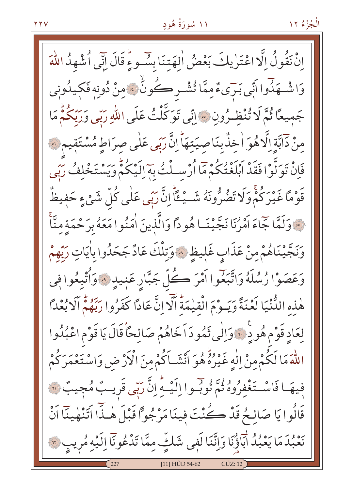إِنْ نَقُولُ إِلَّا اعْتَرٰ يِكَ بَعْضُ اٰلِهَتِنَا بِسُوءٍ قَالَ إِنِّي أُشْهِدُ اللَّهَ وَاشْــهَذَّوا اَنِّي بَـرَىءٌمِمَّا تُشْــرِكُونَٰ ﴾ مِنْ دُونِه فَكيدُونِي جَمِيعًا ثُمَّ لَا تُنْظِـرُونِ ۞ اِنِّي تَوَكَّلْتُ عَلَى اللّٰهِ رَبِّي وَرَبِّكُمُّ مَا مِنْ دَابَّةِ اِلَّا هُوَ اٰ خِذٌ بِنَاصِيَتِهَاْ اِنَّ رَبِّي عَلَى صِرَاطٍ مُسْتَقِيمٍ ﴾ فَإِنْ تَوَلَّوْا فَقَدْ أَبْلَغْتُكُمْ مَّا أُرْسِـلْتُ بِهَ إِلَيْكُمْ وَيَسْتَخْلِفُ رَبِّي قَوْمًا غَيْرَكُمْ وَلَا تَضُرُّونَهُ شَــْـُـْـًا إِنَّ رَبّى عَلَى كُلّ شَيْءٍ حَفِيظٌ لَّهَ وَلَمَّا جَاءَ أَمْرُنَا نَجَّيْنَـا هُودًا وَالَّذِينَ اٰمَنُوا مَعَهُ بِرَحْمَةِ مِنَّ<sup>ا</sup>ً وَنَجَّيْنَاهُمْ مِنْ عَذَابٍ غَلِيظٍ ۞ وَتِلْكَ عَادٌ جَحَدُوا بِاٰيَاتِ رَبِّهِمْ وَعَصَوْا رُسُلَهُ وَاتَّبَعُوا أَمْرَ كُلِّ جَبَّارِ عَنِيدٍ ۞ وَأُتْبِعُوا فِي هٰذِهِ الدُّّنْيَا لَعْنَةً وَيَـوْمَ الْقِيْمَةُ أَلَّا إِنَّ عَادًا كَفَرُوا رَبَّهُمْ أَلَا بُعْدًا لِعَادِ قَوْمٍ هُودٍ فَيْ وَإِلَٰى ثَمُودَ اَخَاهُمْ صَالِحًا قَالَ يَا قَوْمِ اعْبُدُوا اللَّهَ مَا لَكُمْ مِنْ إِلَٰهٍ غَيْرُهُ هُوَ أَنْشَـاَكُمْ مِنَ الْأَرْ ضِ وَاسْتَعْمَرَكُمْ فِيهَـا فَاسْـتَغْفِرُوهُ ثُمَّ تُوبُّـوا اِلَيْـهِ إِنَّ رَبّي قَرِيـبٌ مُجِيبٌ ۞ قَالُوا يَا صَالِحُ قَدْ كُنْتَ فينَا مَرْجُواً قَبْلَ هٰذَا اَتَنْهٰينَا اَنْ نَعْبُدَ مَا يَعْبُدُ ابَاؤُنَا وَإِنَّنَا لَفِي شَلَّ مِمَّا تَدْعُونَاۤ اِلَيْهِ مُرِيبٍ ٣ [11] HÛD 54-62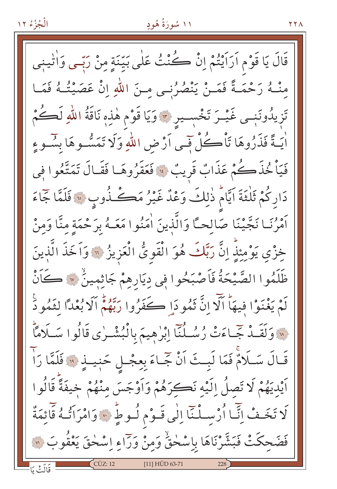# ۱۱ سُورَةُ هُودٍ

قَالَ يَا قَوْمِ أَرَاَيْتُمْ إِنْ كُنْتُ عَلَى بَيّنَةٍ مِنْ رَبِّي وَاٰتِينِي مِنْــهُ رَحْمَــةً فَمَــنْ يَنْصُرُنِــى مِــنَ اللّهِ إِنْ عَصَيْتُــهُ فَمَــا تَزِيدُونَنِــى غَيْــرَ تَخْسِــيرِ \* وَيَا قَوْم هٰذِهِ نَاقَةُ اللّٰهِ لَكُــمُ اٰیَـةً فَذَرُوهَا تَأْڪُلْ فَـی اَرْضِ اللّٰهِ وَلَا تَمَسُّـوهَا بِسُـوءِ فَيَاْ كُذَّكُمْ عَذَابٌ قَرِيبٌ ﴾ فَعَقَرُوهَـا فَقَـالَ تَمَتَّعُوا فِي دَارِكُمْ ثَلْثَةَ اَيَّامٌ ذٰلِكَ وَعْدٌ غَيْرُ مَكْثُلُوبٍ ﴿ فَلَمَّا جَمَاءَ أَمْرُنَـا نَجَّيْنَا صَالِحـَّا وَالَّذِينَ اٰمَنُوا مَعَـهُ بِرَحْمَةِ مِنَّا وَمِنْ خِزْيِ يَوْمِئِذٍ إِنَّ رَبَّكَ هُوَ الْقَوِيُّ الْعَزِيزُ ۞ وَاَخَذَ الَّذِينَ ظَلَمُوا الصَّيْحَةُ فَاَصْبَحُوا فِي دِيَارِهِمْ جَاثِمِينٌ \* كَانْ لَمْ يَغْنَوْا فِيهَا أَلَّا إِنَّ ثَمُودَاٍ كَفَرُوا رَبَّهُمْ أَلَا بُعْدًا لِثَمُودَ لِهَ وَلَقَـٰدٌ جَّـاءَتْ رُسُـلُنَا إِبْرٰهِيمَ بِالْبُشْـرٰى قَالُوا سَـلَامًاّ قَالَ سَلَامٌ فَمَا لَبِتَ اَنْ جَمَاءَ بِعِجْلِ حَبِيدٍ ﴾ فَلَمَّا رَاّ اَيْدِيَهُمْ لَا تَصِلُ اِلَيْهِ نَكِرَهُمْ وَاَوْجَسَ مِنْهُمْ خِيفَةً قَالُوا لَا تَخَفْ إِنَّمَا أُرْسِلْنَآ إِلَٰى قَـوْمِ لُـوطٍ \* وَامْرَاَتُـهُ قَائِمَةٌ فَضَحِكَتْ فَبَشَّرْنَاهَا بِاِسْحٰقٌ وَمِنْ وَرَاءِ اِسْحٰقَ يَعْقُوبَ ۞ [11] HÛD 63-71

**Y Y A**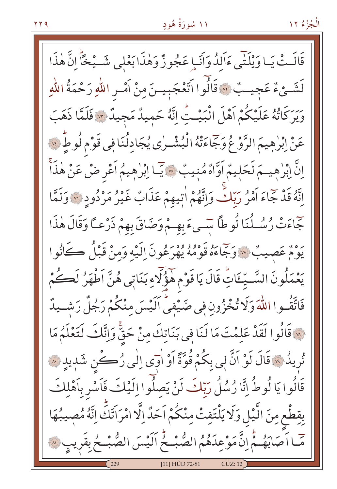قَالَتْ يَباوَيْلَنِّي ءَالِدُوَاَنَـإِ عَجُوزٌ وَهٰذَا بَعْلِي شَــيْخَاَّ إِنَّ هٰذَا لَشَـيْءٌ عَجيـبٌ ۞ قَالُوا اَتَعْجَبِيـنَ مِنْ اَمْـرِ اللّهِ رَحْمَةُ اللّهِ وبِرَكَاتُهُ عَلَيْكُمْ اَهْلَ الْبَيْتِ إِنَّهُ حَمِيدٌ مَجِيدٌ \* فَلَمَّا ذَهَبَ عَنْ ابْرٰهِيمَ الرَّوْعُ وَجَاءَتْهُ الْبُشْـرٰي يُجَادِلُنَا فِي قَوْمِ لُوطٍّ ۞ اِنَّ اِبْرٰهِيمَ لَحَلِيمٌ اَوَّاهٌ مُنِيبٌ ۞ يَا اِبْرٰهِيمُ اَعْرِ ضْ عَنْ هٰذَاً إِنَّهُ قَدْ جَاءَ أَمْرُ رَبِّكَ وَإِنَّهُمْ اٰتِيهِمْ عَذَابٌ غَيْرُ مَرْدُودٍ \* وَلَمَّا جَاءَتْ رُسُلُنَا لُوطاً سَىءَبِهِمْ وَضَاقَ بِهِمْ ذَرْعِـَّا وَقَالَ هٰذَا يَوْمٌ عَصِيبٌ » وَجَاءَهُ قَوْمُهُ يُهْرِعُونَ اِلَيْهِ وَمِنْ قَبْلُ كَانُوا يَعْمَلُونَ السَّـيِّــَاتِّ قَالَ يَا قَوْمِ هَؤُلَّاءِ بَنَاتِي هُنَّ اَطْهَرُ لَكُمْ فَاتَّقُــوا اللَّهَ وَلَا تُخْزُونِ فِي صَيْفِيٍّ أَلَيْسَ مِنْكُمْ رَجُلٌ رَشِــيدٌ لَهَ قَالُوا لَقَدْ عَلِمْتَ مَا لَنَا فِي بَنَاتِكَ مِنْ حَقٌّ وَإِنَّكَ لَتَعْلَمُ مَا نُرِيدُ ﴾ قَالَ لَوْ اَنَّ لِي بِكُمْ قُوَّةً اَوْ اٰوَى اِلٰى رُكْنٍ شَدِيدٍ ﴾ قَالُوا يَا لُوطُ إِنَّا رُسُلُ رَبِّكَ لَنْ يَصلُّوا إِلَيْكَ فَاَسْرِ بِاَهْلِكَ بقِطْعٍ مِنَ الَّيْلِ وَلَا يَلْتَفِتْ مِنْكُمْ اَحَدٌ إِلَّا امْرَاتَكَ إِنَّهُ مُصِيبُهَا صّا اَصَابَهُـمّْ إِنَّ مَوْعِدَهُمُ الصُّبْـحُ اَلَيْسَ الصُّبْـحُ بِقَرِيبٍ ۞ [11] HÛD 72-81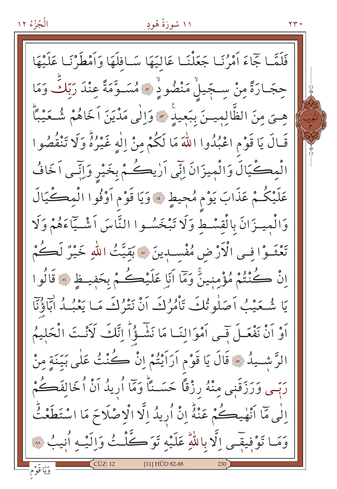

 $\gamma \gamma$ .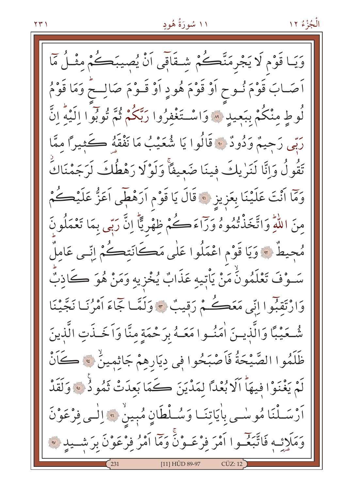وَيَـا قَوْمٍ لَا يَجْرِمَنَّڪُمْ شِـقَاقِي اَنْ يُصِيبَڪُمْ مِثْـلُ مَمَّا اَصَـابَ قَوْمَ نُــوحِ اَوْ قَوْمَ هُودٍ اَوْ قَــوْمَ صَالِــحْ وَمَا قَوْمُ لُوطٍ مِنْكُمْ بِبَعِيدٍ ۚ وَاسْتَغْفِرُوا رَبَّكُمْ ثُمَّ تُوبُوا اِلَيْهَ اِنَّ رَبِّي رَحِيمٌ وَدُودٌ ۚ قَالُوا يَا شُعَيْبُ مَا نَفْقَهُ ڪَثِيرًا ممَّا تَقُولُ وَإِنَّا لَنَرٰيكَ فينَا ضَعِيفًا وَلَوْلَا رَهْطُكَ لَرَجَمْنَاكَ وَمَّا اَنْتَ عَلَيْنَا بِعَزِيزِ ۞ قَالَ يَا قَوْمِ اَرَهْطِي اَعَزُّ عَلَيْكُمْ مِنَ اللَّهِ وَاتَّخَذْتُمُوهُ وَرَاءَكُمْ ظِهْرِيًّا إِنَّ رَبِّي بِمَا تَعْمَلُونَ مُحِيطٌ \* وَيَا قَوْمِ اعْمَلُوا عَلَى مَكَانَتِكُمْ اِنِّسِي عَامِلٌ سَـوْفَ تَعْلَمُونَٰ مَنْ يَأْتِيه عَذَابٌ يُخْزِيهِ وَمَنْ هُوَ ڪَاذِبٌ وَارْتَقِبُوا اِنِّي مَعَڪُمْ رَقِيبٌ ﴾ وَلَمَّا جَمَاءَ أَمْرُنَـا نَجَّيْنَا شُّحَيْبًا وَالَّذِيـنَ اٰمَنُــوا مَعَــهُ بِرَحْمَةٍ مِنَّا وَاَخَــذَتِ الَّذِينَ ظَلَمُوا الصَّيْحَةُ فَأَصْبَحُوا فِي دِيَارِهِمْ جَاثِمِينٌ ﴾ كَانْ لَمْ يَغْنَوْا فِيهَا ٱلَا بُعْدًا لِمَدْيَنَ كَمَا بَعِدَتْ ثَمُو دُنَّ وَلَقَدْ أَرْسَـلْنَا مُوسْـى بِاٰيَاتِنَـا وَسُـلْطَانٍ مُبِينٍ \* إِلْـى فِرْعَوْنَ وَمَلَائِـهِ فَاتَّبَعْـوا اَمْرَ فِرْعَـوْنَّ وَمَا اَمْرُ فِرْعَوْنَ بِرَشْــيدِ ۞ [11] HUD 89-97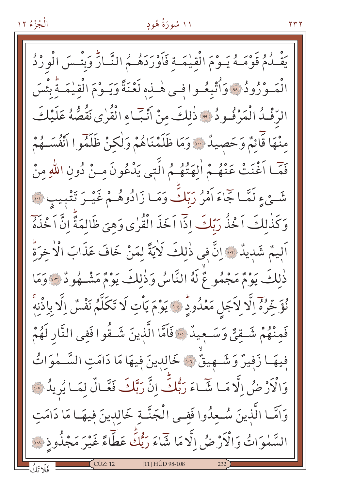#### ۱۱ سُورَةُ هُودٍ

يَقْلُمُ قَوْمَـهُ يَـوْمَ الْقِيْمَـة فَأَوْرَدَهُـمُ النَّـارِّ وَبِئْسَ الْوِرْدُ الْمَـوْرُودُ ، وَأُتْبِعُـوا فـي هٰـذِه لَعْنَةً وَيَـوْمَ الْقيٰمَـةُ بِئْسَ الرِّفْدُ الْمَرْفُودُ \* ذٰلكَ منْ أَنْبَاءِ الْقُرٰى نَقُصُّهُ عَلَيْكَ منْهَا قَائِمٌ وَحَصِيدٌ ۚ وَمَا ظَلَمْنَاهُمْ وَلٰكِنْ ظَلَمُوا أَنْفُسَـهُمْ فَمَّا أَغْنَتْ عَنْهُـمْ اٰلهَتُهُـمُ الَّتِي يَدْعُونَ مـنْ دُونِ اللّٰهِ منْ شَيْءٍ لَمَّـا جَمَاءَ أَمْرُ رَبّكَ وَمَـا زَادُوهُـمْ غَيْـرَ تَتْبِيبِ ۞ وَكَذٰلكَ اَخْذُ رَبِّكَ إِذَّا اَخَذَ الْقُرٰى وَهِيَ ظَالِمَةٌ إِنَّ اَخْذَهُ اَلِيمٌ شَدِيدٌ ۚ إِنَّ فِي ذٰلِكَ لَاٰيَةً لِمَنْ خَافَ عَذَابَ الْاٰخِرَةِ ذٰلكَ يَوْمٌ مَجْمُو عٌ لَهُ النَّاسُ وَذٰلكَ يَوْمٌ مَشْـهُودٌ - وَمَا نُوَّخِرُهُ اِلَّا لِاَجَلِ مَعْدُودٍ ۚ وَ يَوْمَ يَأْتِ لَا تَكَلَّمُ نَفْسُ اِلَّا بِاِذْنِهِ ۚ فَمِنْهُمْ شَـقِيٌّ وَسَـعِيدٌ ۞ فَاَمَّا الَّذِينَ شَـقُوا فَفي النَّارِ لَهُمْ فِيهَا زَفِيرٌ وَشَـهِيقٌ ٣٠ خَالِدِينَ فِيهَا مَا دَامَتِ السَّـمٰوَاتُ وَالْأَرْضُ إِلَّا مَا شَّاءَ رَبُّكَّ إِنَّ رَبَّكَ فَعَّالٌ لِمَا يُرِيدُ ﴾ وَاَمَّـا الَّذِينَ سُـعِدُوا فَفـى الْجَنَّــةِ خَالِدِينَ فِيهَــا مَا دَامَتِ السَّمٰوَاتُ وَالْأَرْضُ إِلَّا مَا شَّاءَ رَبُّكَ عَطَّاءً غَيْرَ مَجْذُوذٍ ﴾ [11] HÛD 98-108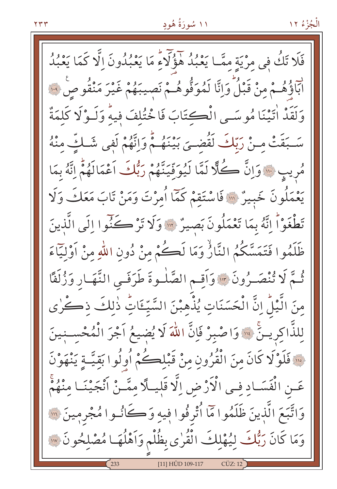فَلَا تَكُ فِي مِرْيَةِ مِمَّـا يَعْبُدُ هَؤُلَّاءٌ مَا يَعْبُدُونَ الَّا كَمَا يَعْبُدُ لَّ إِلَّا مَنْ مِنْ قَبْلُ وَإِنَّا لَمُوَقُّوهُمْ نَصِيبَهُمْ غَيْرَ مَنْقُوصٍ فِيَنَّا وَلَقَدْ أَتَيْنَا مُوسَى الْكِتَابَ فَاخْتُلِفَ فِيهِ وَلَـوْلَا كَلِمَةٌ سَـبَقَتْ مـنْ رَبّكَ لَقُضـيَ بَيْنَهُـمْ وَإِنَّهُمْ لَفِي شَـكِّ منْهُ مُرِيبٍ ۚ وَإِنَّ كُلًّا لَمَّا لَيُوَقِّيَنَّهُمْ رَبُّكَ اَعْمَالَهُمْ إِنَّهُ بِمَا يَعْمَلُونَ خَبِيرٌ ۚ ۚ فَاسْتَقِمْ كَمَّا أُمِرْتَ وَمَنْ تَابَ مَعَكَ وَلَا تَطْغَوْاً إِنَّهُ بِمَا تَعْمَلُونَ بَصِيرٌ \* وَلَا تَرْكَنُوا إِلَى الَّذِينَ ظَلَمُوا فَتَمَسَّكُمُ النَّارُّ وَمَا لَكُمْ مِنْ دُونِ اللهِ مِنْ أَوْلِيَّاءَ ثُمَّ لَا تُنْصَـرُونَ \*" وَأَقـم الصَّلْـوةَ طَرَفَـى النَّهَـارِ وَزُلَفًا مِنَ الَّيْلِّ اِنَّ الْحَسَنَاتِ يُذْهِبْنَ السَّيِّئَاتِ ذٰلِكَ ذِكْرٰى لِلذَّاكِرِيسَّ ۚ ۚ وَاصْبِرْ فَإِنَّ اللَّهَ لَا يُضِيعُ اَجْرَ الْمُحْسَـنِينَ فَقَوْلَا كَانَ مِنَ الْقُرُونِ مِنْ قَبْلِكُمْ أُوِلُوا بَقِيَّةٍ يَنْهَوْنَ عَــنِ الْفَسَــادِ فِــى الْأَرْضِ اِلَّا قَلِيــلَّا مِمَّــنْ اَنْجَيْنَــا مِنْهُمْ وَاتَّبَعَ الَّذِينَ ظَلَمُوا مَّا ٱتْرِفُوا فِيهِ وَكَانُـوا مُجْرِمِينَ ۞ وَمَا كَانَ رَبُّكَ لِيُهْلِكَ الْقُرٰى بِظُلْمٍ وَاَهْلُهَا مُصْلِحُونَ ۞ [11] HÛD 109-117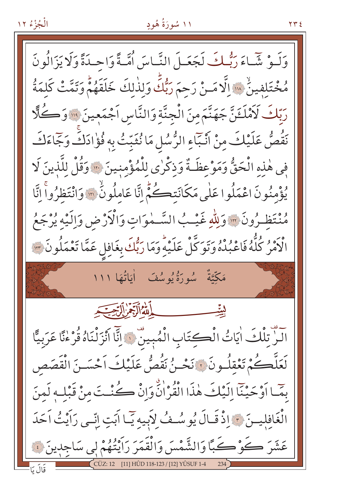# ۱۱ سُورَةُ هُودٍ

 $YY$ 

وَلَـوْ شَّـاءَ رَبُّـكَ لَجَعَـلَ النَّـاسَ أُمَّـةً وَاحِـدَةً وَلَا يَزَ الُو نَ مُخْتَلِفِينٌ \* إِلَّا مَـنْ رَحِمَ رَبُّكَ وَلِذٰلِكَ خَلَقَهُمْ وَتَمَّتْ كَلِمَةُ رَبّكَ لَأَمْلَـثَنَّ جَهَنَّمَ مِنَ الْجِنَّةِ وَالنَّاسِ اَجْمَعِينَ ۚ ۚ وَالْحَلَّالِ نَقُصُّ عَلَيْكَ مِنْ أَنْبَاءِ الرُّسُلِ مَا نُثَبِّتُ بِهِ فُؤْادَكَ وَجَاءَكَ فِي هٰذِهِ الْحَقُّ وَمَوْعِظَـةٌ وَذِكْرٰى لِلْمُؤْمِنينَ ﴾ وَقُلْ لِلَّذِينَ لَا يُؤْمِنُونَ اعْمَلُوا عَلَى مَكَانَتِكُمْ إِنَّا عَامِلُونٌ ۚ وَانْتَظِرُواْ إِنَّا مُنْتَظِـرُونَ \* وَلِلّٰهِ غَيْـبُ السَّـمٰوَاتِ وَالْأَرْضِ وَالَّذِهِ يُرْجَعُ الْأَمْرُ كُلُّهُ فَاعْبُدْهُ وَتَوَكَّلْ عَلَيْهِ وَمَا رَبُّكَ بِغَافِلِ عَمَّا تَعْمَلُونَ ٣ مَكِّيَّةٌ سُورَةٌ يُوسُفَ أَيَاتُهَا ١١١ آلَنٌ تِلْكَ اٰيَاتُ الْكِتَابِ الْمُبِينٌ ﴾ إِنَّا اَنْزَلْنَاهُ قُرْءٰنًا عَرَبيًّا لَعَلَّكُمْ تَعْقِلُونَ ۚ زَنْحَـنُ نَقُصُّ عَلَيْكَ أَحْسَـنَ الْقَصَصِ بِمَّـا أَوْحَيْنَا إِلَيْكَ هٰذَا الْقُرْانُّ وَإِنْ كُنْـتَ مِنْ قَبْلِـهِ لَمِنَ الْغَافِلِيتَ \* إِذْ قَبَالَ يُوسُفُ لِأَبِيهِ يَبَا آَبَتِ إِنِّي رَآَيْتُ آَحَدَ عَشْرَ كُوْكَبًا وَالشَّمْسَ وَالْقَمَرَ رَاَيْتُهُمْ لِي سَاجِدِينَ ﴾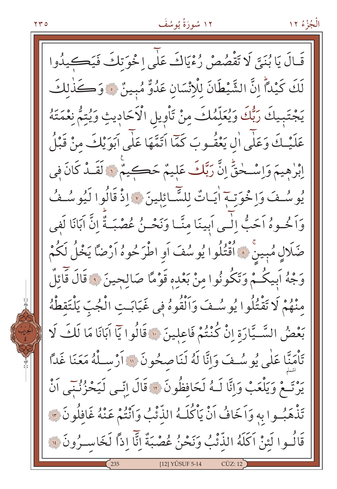۲۳٥

قَالَ يَا بُنَيَّ لَا تَقْصُصْ رُءْيَاكَ عَلَى اخْوَتِكَ فَيَكِيدُوا لَكَ كَيْدَاً انَّ الشَّيْطَانَ لِلْإِنْسَانِ عَدُوٌّ مُبِينٌ ۞ وَكَذٰلِكَ يَجْتَبِيكَ رَبُّكَ وَيُعَلِّمُكَ مِنْ تَأْوِيلِ الْاَحَادِيثِ وَيُتِمُّ نِعْمَتَهُ عَلَيْكَ وَعَلَّى ال يَعْقُـوبَ كَمَّا اتَمَّهَا عَلَى اَبَوَيْكَ مِنْ قَبْلُ اِبْرِهِيمَ وَإِسْـخْقٍّ إِنَّ رَبَّكَ عَلِيمٌ حَكِيمٌ ۚ وَالْقَـٰدُ كَانَ فِي يُوسُفَ وَاخْوَتْ أَيَاتٌ لِلشَّائِلِينَ ﴾ إِذْ قَالُوا لَيُوسُفُ وَاَ مُحوهُ اَحَبُّ إِلٰـى اَبِينَا مِنَّـا وَنَحْـنُ عُصْبَـةٌ إِنَّ اَبَانَا لَفي ضَلَالٍ مُبِينٌ ﴾ أَقْتُلُوا يُوسُفَ أَو اطْرَحُوهُ أَرْضًا يَخْلُ لَكُمْ وَجْهُ اَبِيكُمْ وَتَكُونُوا مِنْ بَعْدِهِ قَوْمًا صَالِحِينَ ﴾ قَالَ قَائِلٌ مِنْهُمْ لَا تَقْتُلُوا يُوسُتُ وَأَلْقُوهُ فِي غَيَابَتِ الْجُبِّ يَلْتَقِطْهُ بَعْضُ السَّـبَّارَةِ إِنْ كُنْتُمْ فَاعِلِينَ ۞ قَالُوا يَاۤ آبَانَا مَا لَكَ لَا تَأْمَيًّا عَلَى يُوسُفَ وَإِنَّا لَهُ لَنَاصِحُونَ ۚ " أَرْسِلْهُ مَعَنَا غَدًّا يَرْتَعْ وَيَلْعَبْ وَإِنَّا لَـهُ لَحَافِظُونَ \* قَالَ إِنِّـى لَيَحْزُنُنِي اَنْ تَذْهَبُوا بِهِ وَاَخَافُ اَنْ يَاكُلَهُ الذِّئْبُ وَاَنْتُمْ عَنْهُ غَافِلُونَ ٣ قَالُوا لَئِنْ اَكَلَهُ الذِّئْبُ وَنَحْنُ عُصْبَةٌ إِنَّا إِذاً لَخَاسِـرُونَ لَهُ [12] YÛSUF 5-14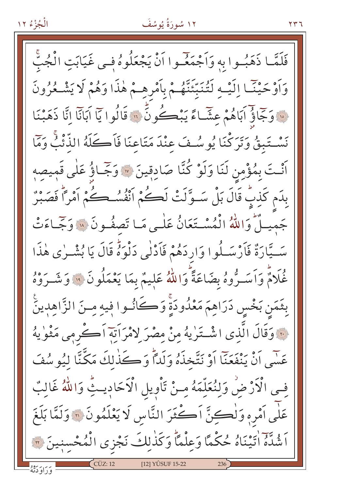فَلَمَّـا ذَهَبُـوا بِهٖ وَاَجْمَعۡـوا اَنْ يَجْعَلُوهُ فِـى غَيَابَتِ الْجُبَّ وَأَوْحَيْنَـا إِلَيْـهِ لَتُنَبِّئَنَّهُـمْ بِأَمْرِهِـمْ هٰذَا وَهُمْ لَا يَشْـعُرُونَ نَّهُ وَجَمَاؤُ أَبَاهُمْ عِشَاءً يَبْڪُونَّ لَهُ قَالُوا يَا أَبَانَا إِنَّا ذَهَبْنَا نَسْتَبِقُ وَتَرَكْنَا يُوسُفَ عِنْدَ مَتَاعِنَا فَاَكَلَهُ الذُّئْبُ وَمَا أَنْتَ بِمُؤْمِنِ لَنَا وَلَوْ كُنَّا صَادِقِينَ ۞ وَجَّـاؤُ عَلٰى قَمِيصِهِ بِدَم كَذِبٌ قَالَ بَلْ سَـوَّلَتْ لَكُمْ أَنْفُسُكُمْ أَهْدًا هُوَّاً فَصَبْرٌ جَميهِ أَمْ وَاللَّهُ الْمُسْتَعَانُ عَلَى مَا تَصِفُونَ ۞ وَجَّاءَتْ سَـيَّارَةٌ فَأَرْسَـلُوا وَارِدَهُمْ فَأَدْلٰى دَلْوَهُ قَالَ يَا بُشْـرٰى هٰذَا غُلَامٌ وَأَسَـرُّوهُ بِضَاعَةً وَاللهُ عَلِيمٌ بِمَا يَعْمَلُونَ ۚ ۚ وَشَـرَوْهُ بِثَمَن بَخْسٍ دَرَاهِمَ مَعْدُودَةٍ وَكَانُــوا فِيهِ مِــنَ الزَّاهِدِينَ فَ وَقَالَ الَّذِي اشْتَرْيَهُ مِنْ مِصْرَ لِامْرَاَتِهِ اَكْرِمِي مَثْوٰيهُ عَسَى أَنْ يَنْفَعَنَّا أَوْ نَتَّخذَهُ وَلَدًّا وَكَذَٰلِكَ مَكَّنَّا لَيُو سُفَ فِي الْأَرْضُ وَلِنُعَلِّمَهُ مِنْ تَأْوِيلِ الْأَحَادِيثُ وَاللَّهُ غَالِبٌ عَلَى أَمْرِهِ وَلْكِنَّ أَكْثَرَ النَّاسِ لَا يَعْلَمُونَ ۞ وَلَمَّا بَلَغَ اَشْدَّهُ اٰتَيْنَاهُ حُكْمًا وَعِلْمًا وَكَذٰلِكَ نَجْزِي الْمُحْسنِينَ (" [12] YÛSUF 15-22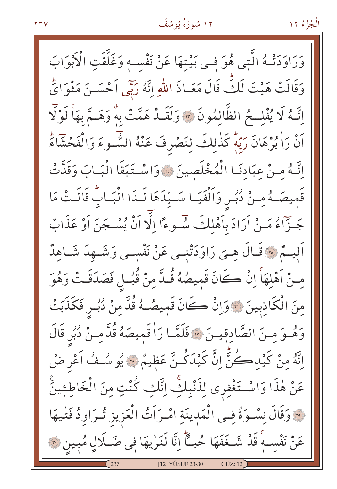وَرَاوَدَتْهُ الَّتِي هُوَ فِي بَيْتِهَا عَنْ نَفْسِهِ وَغَلَّقَتِ الْأَبْوَابَ وَقَالَتْ هَيْتَ لَكِّ قَالَ مَعَـاذَ اللّهِ إِنَّهُ رَبَّى أَحْسَـنَ مَثْوَايٍّ اِنَّـهُ لَا يُفْلِــحُ الظَّالمُونَ \* وَلَقَــدٌ هَمَّتْ بِهُ وَهَــمَّ بِهَا لَوْلَا أَنْ رَاٰ بُرْهَانَ رَبِّهٖ كَذٰلِكَ لِنَصْرِفَ عَنْهُ السُّوءَ وَالْفَحْشَاءَ إِنَّهُ مِنْ عِبَادِنَا الْمُخْلَصِينَ \* وَاسْتَبَقَا الْبَابَ وَقَدَّتْ قَمِيصَـهُ مِنْ دُبُـرِ وَاَلْفَيَـا سَـيِّدَهَا لَـدَا الْبَـابُ قَالَـتْ مَا جَـزّاءُ مَـنْ اَرَادَ بِاَهْلِكَ سُّـوءًا الَّا اَنْ يُسْـجَنَ اَوْ عَذَابٌ اَلِيــمٌ ۞ قَـالَ هِــىَ رَاوَدَتْنِــى عَنْ نَفْسِــى وَشَــهِدَ شَــاهِدٌ مسنْ اَهْلهَاَّ إِنْ كَانَ قَمِيصُهُ قُلَّ مِنْ قُبُـلٍ فَصَدَقَـتْ وَهُوَ مِنَ الْكَاذِبِينَ ۞ وَإِنْ كَانَ قَمِيصُـهُ قُدَّ مِنْ دُبُـرٍ فَكَذَبَتْ وَهُــوَ مــنَ الصَّادقيــنَ ۞ فَلَمَّــا رَا قَمِيصَهُ قُدَّ مِـنْ دُبُرٍ قَالَ اِنَّهُ مِنْ كَيْدِكُنَّ إِنَّ كَيْدَكُنَّ عَظِيمٌ ۞ يُو سُـفُ آعْرِ ضْ عَنْ هٰذَا وَاسْتَغْفِري لِذَنْبِكِّ اِتَّكِ كُنْتِ مِنَ الْخَاطِءِينَّ لِهِ وَقَالَ نِسْوَةٌ فِي الْمَدِينَةِ امْرَاَتُ الْعَزِيزِ تُرَاوِدُ فَتْيهَا عَنْ نَفْسِهِ قَدْ شَـغَفَهَا حُبــًّا اِنَّا لَنَرٰيهَا فِي ضَـلَالٍ مُبِينٍ ٣٠ [12] YÛSUF 23-30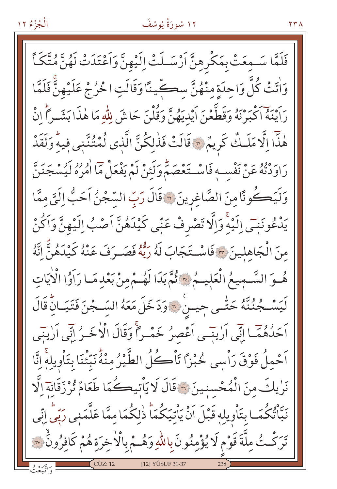#### ۱۲ سُورَةُ يُوسُفَ

فَلَمَّا سَـمِعَتْ بِمَكْرِهِنَّ اَرْسَـلَتْ اِلَيْهِنَّ وَاَعْتَدَتْ لَهُنَّ مُتَّكَأً وَاٰتَتْ كُلَّ وَاحِدَةِ مِنْهُنَّ سِكَّينًا وَقَالَتِ اخْرُجْ عَلَيْهِنَّ فَلَمَّا رَائِنَهُ اكْبَرْنَهُ وَقَطَّعْنَ ايْدِيَهُنَّ وَقُلْنَ حَاشَ لِلَّهِ مَا هٰذَا بَشَـراً إِنْ هٰذا إِلَّا مَلَـكٌ كَرِيمٌ ۞ قَالَتْ فَذٰلِكُنَّ الَّذِي نُمْتُنَّنِي فِيهِ وَلَقَدْ رَاوَدْنَهُ عَنْ نَفْسِهِ فَاسْتَعْصَمْ وَلَئِنْ لَمْ يَفْعَلْ مَا اٰمُرُهُ لَيُسْجَنَنّ وَلَيَكُونًا مِنَ الصَّاغِرِينَ ۞ قَالَ رَبِّ السَّجْنُ اَحَبُّ اِلَيَّ مِمَّا يَدْعُونَنِي الَّذِهِ وَالَّا تَصْرِفْ عَنِّي كَيْدَهُنَّ اَصْبُ اِلَيْهِنَّ وَاَكُنْ مِنَ الْجَاهِلِينَ \* فَاسْتَجَابَ لَهُ رَبُّهُ فَصَـرَفَ عَنْهُ كَيْدَهُنَّ اتَّهُ هُوَ السَّمِيعُ الْعَلِيمُ \* ثُمَّ بَدَا لَهُمْ مِنْ بَعْدِ مَا رَاَوُا الْأَيَاتِ لَيَسْـجُنُنَّهُ حَتّٰـى جِيـنٍ ۚ وَدَخَلَ مَعَهُ السِّـجْنَ فَتَيَـانِّ قَالَ أَحَدُّهُمَّـا إِنِّي أَرْيِنِّـي أَعْصِرُ خَمْـراً وَقَالَ الْأَخَـرُ إِنِّي أَرْيِنِي اَحْمِلُ فَوْقَ رَاْسِي حُبْزًا تَاْكُلُ الطَّيْرُ مِنْهُ نَبِّنَنَا بِتَاْوِيلِهِ انَّا نَرٰيكَ مِنَ الْمُحْسنينَ ﴾ قَالَ لَا يَأْتِيكُمَا طَعَامٌ تُرْزَقَانَة الَّا نَبَّاتُكُمَـا بِتَأْوِيلِهِ قَبْلَ اَنْ يَأْتِيَكُمَا ۚ ذٰلِكُمَا مِمَّا عَلَّمَنِي رَبِّي إِنِّي تَرَكْتُ مِلَّةَ قَوْمٍ لَا يُؤْمِنُونَ بِاللَّهِ وَهُـمْ بِالْأَخِرَةِ هُمْ كَافِرُونَ ۞ [12] YÛSUF 31-37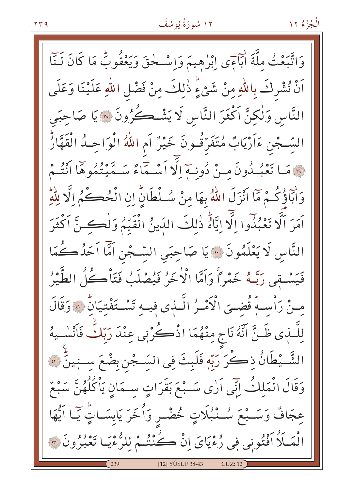وَاتَّبَعْثُ مِلَّةَ أَبَاءَى إِبْرٰهِيمَ وَإِسْـحٰقَ وَيَعْقُوبُ مَا كَانَ لَـنَّا اَنْ نُشْرِكَ بِاللَّهِ مِنْ شَيْءٍ ذٰلِكَ مِنْ فَضْلِ اللّٰهِ عَلَيْنَا وَعَلَى النَّاس وَلٰكِنَّ اَكْثَرَ النَّاسِ لَا يَشْكُرُونَ ۞ يَا صَاحِبَي السَّجْنِ ءَاَرْبَابٌ مُتَفَرِّقُونَ خَيْرٌ اَمِ اللَّهُ الْوَاحِـدُ الْقَهَّارُّ فَيْهَ مَا تَعْبُدُونَ مِنْ دُونِيةِ إِلَّا أَسْبَقَاءً سَبِّيتُهُوهَا أَنْتُمْ وَابَاؤُكُـمْ مَا اَنْزَلَ اللَّهُ بِهَا مِنْ سُـلْطَانِّ إِنِ الْحُكُـمُ إِلَّا لِلَّهِ آمَرَ الَّهُ تَعْبُدُوا إِلَّهَ إِيَّاهُ ذٰلِكَ الدِّينُ الْقَيِّمُ وَل<del>ٰكِ نَّ</del> آكْثَرَ النَّاسِ لَا يَعْلَمُونَ ۞ يَا صَاحِبَيِ السِّجْنِ اَمَّا اَحَدُكُمَا فَيَسْتِقِي رَبِّـهُ خَمْراً وَاَمَّا الْاٰخَرُ فَيُصْلَبُ فَتَأْكُلُ الطَّيْرُ مِنْ رَأْسِهُ قُضِيَ الْأَمْـرُ الَّـذِي فِيـهِ تَسْـتَفْتِيَانِّ ۞ وَقَالَ لِلَّـٰبِي ظَـنَّ انَّهُ نَاجٍ مِنْهُمَا اذْكُرْنِي عِنْدَ رَبِّكٌ فَأَنْسٰـيهُ الشَّــيْطَانُ ذِكْرَ رَبِّهٖ فَلَبِثَ فِي السِّـجْنِ بِضْعَ سِـنِينٍّ ۞ وَقَالَ الْمَلِكُ إِنِّي أَرٰى سَـبْعَ بَقَرَاتٍ سـمَانِ يَأْكُلُهُنَّ سَبْعٌ عِجَافٌ وَسَـبْعَ سُـنْبُلَاتٍ خُضْـرٍ وَأُخَرَ يَابِسَـاتٍّ يَـا آَيُّهَا الْمَلَلَا أَفْتُونِي فِي رُءْيَايَ إِنْ كُنْتُمْ لِلرُّءْيَـا تَعْبُرُونَ ۞ [12] YÛSUF 38-43